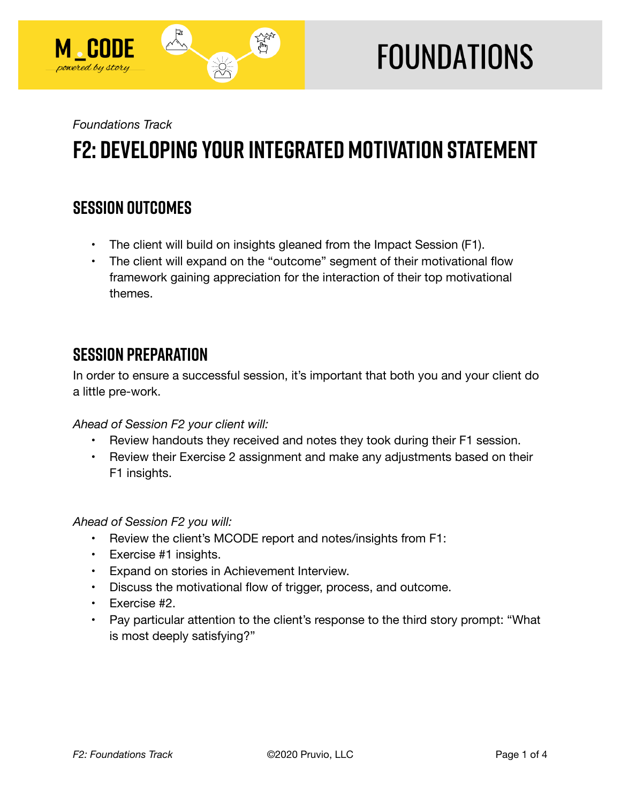

# **FOUNDATIONS**

*Foundations Track* 

## **F2: Developing Your Integrated Motivation Statement**

## **SESSION OUTCOMES**

- The client will build on insights gleaned from the Impact Session (F1).
- The client will expand on the "outcome" segment of their motivational flow framework gaining appreciation for the interaction of their top motivational themes.

## **SESSION PREPARATION**

In order to ensure a successful session, it's important that both you and your client do a little pre-work.

*Ahead of Session F2 your client will:* 

- Review handouts they received and notes they took during their F1 session.
- Review their Exercise 2 assignment and make any adjustments based on their F1 insights.

*Ahead of Session F2 you will:* 

- Review the client's MCODE report and notes/insights from F1:
- Exercise #1 insights.
- Expand on stories in Achievement Interview.
- Discuss the motivational flow of trigger, process, and outcome.
- Exercise #2.
- Pay particular attention to the client's response to the third story prompt: "What is most deeply satisfying?"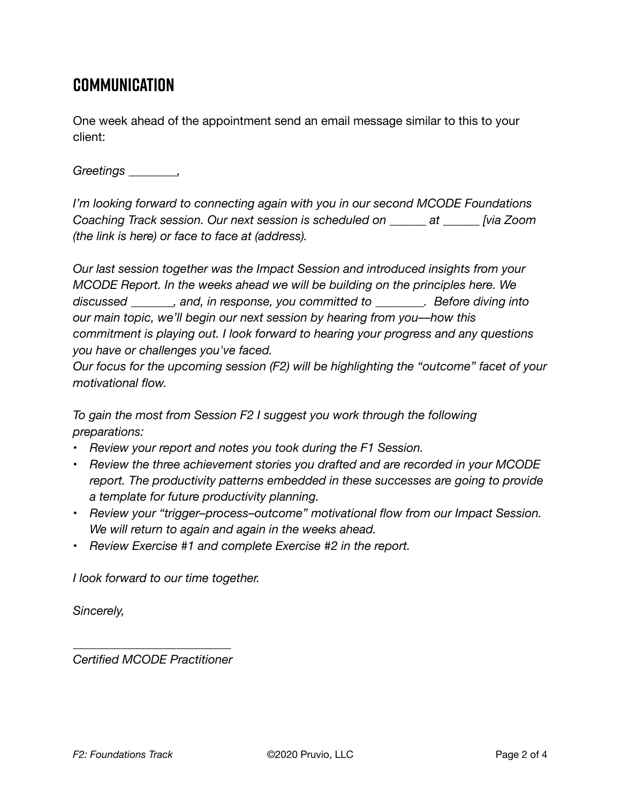## **Communication**

One week ahead of the appointment send an email message similar to this to your client:

*Greetings \_\_\_\_\_\_\_\_,* 

*I'm looking forward to connecting again with you in our second MCODE Foundations Coaching Track session. Our next session is scheduled on \_\_\_\_\_\_ at \_\_\_\_\_\_ [via Zoom (the link is here) or face to face at (address).* 

*Our last session together was the Impact Session and introduced insights from your MCODE Report. In the weeks ahead we will be building on the principles here. We discussed \_\_\_\_\_\_\_, and, in response, you committed to \_\_\_\_\_\_\_\_. Before diving into our main topic, we'll begin our next session by hearing from you––how this commitment is playing out. I look forward to hearing your progress and any questions you have or challenges you've faced.* 

*Our focus for the upcoming session (F2) will be highlighting the "outcome" facet of your motivational flow.* 

*To gain the most from Session F2 I suggest you work through the following preparations:* 

- *Review your report and notes you took during the F1 Session.*
- *Review the three achievement stories you drafted and are recorded in your MCODE report. The productivity patterns embedded in these successes are going to provide a template for future productivity planning.*
- *Review your "trigger–process–outcome" motivational flow from our Impact Session. We will return to again and again in the weeks ahead.*
- *Review Exercise #1 and complete Exercise #2 in the report.*

*I look forward to our time together.* 

*Sincerely,* 

*\_\_\_\_\_\_\_\_\_\_\_\_\_\_\_\_\_\_\_\_\_\_\_\_\_\_ Certified MCODE Practitioner*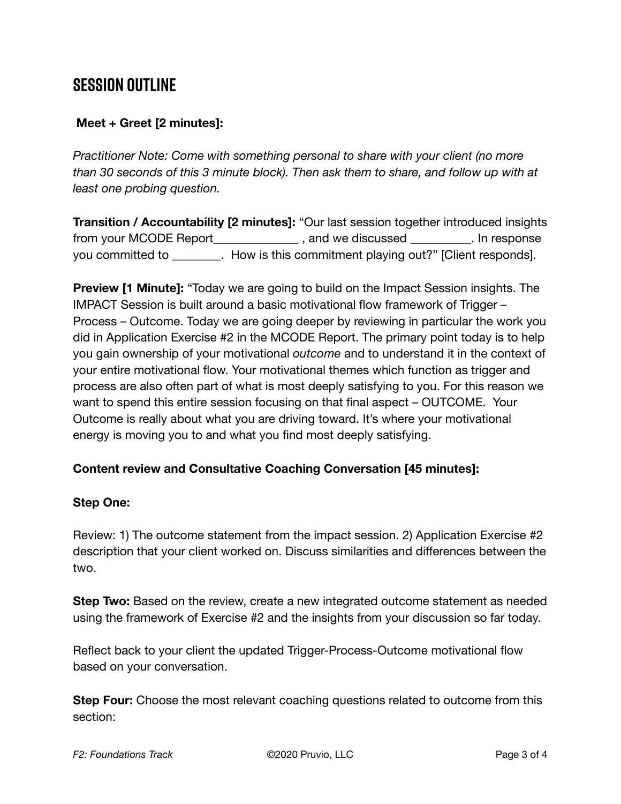## **SESSION OUTLINE**

#### **Meet + Greet [2 minutes]:**

*Practitioner Note: Come with something personal to share with your client (no more than 30 seconds of this 3 minute block). Then ask them to share, and follow up with at least one probing question.* 

**Transition / Accountability [2 minutes]:** "Our last session together introduced insights from your MCODE Report\_\_\_\_\_\_\_\_\_\_\_\_\_\_ , and we discussed \_\_\_\_\_\_\_\_\_\_. In response you committed to \_\_\_\_\_\_\_\_. How is this commitment playing out?" [Client responds].

**Preview [1 Minute]:** "Today we are going to build on the Impact Session insights. The IMPACT Session is built around a basic motivational flow framework of Trigger – Process – Outcome. Today we are going deeper by reviewing in particular the work you did in Application Exercise #2 in the MCODE Report. The primary point today is to help you gain ownership of your motivational *outcome* and to understand it in the context of your entire motivational flow. Your motivational themes which function as trigger and process are also often part of what is most deeply satisfying to you. For this reason we want to spend this entire session focusing on that final aspect – OUTCOME. Your Outcome is really about what you are driving toward. It's where your motivational energy is moving you to and what you find most deeply satisfying.

#### **Content review and Consultative Coaching Conversation [45 minutes]:**

#### **Step One:**

Review: 1) The outcome statement from the impact session. 2) Application Exercise #2 description that your client worked on. Discuss similarities and differences between the two.

**Step Two:** Based on the review, create a new integrated outcome statement as needed using the framework of Exercise #2 and the insights from your discussion so far today.

Reflect back to your client the updated Trigger-Process-Outcome motivational flow based on your conversation.

**Step Four:** Choose the most relevant coaching questions related to outcome from this section: